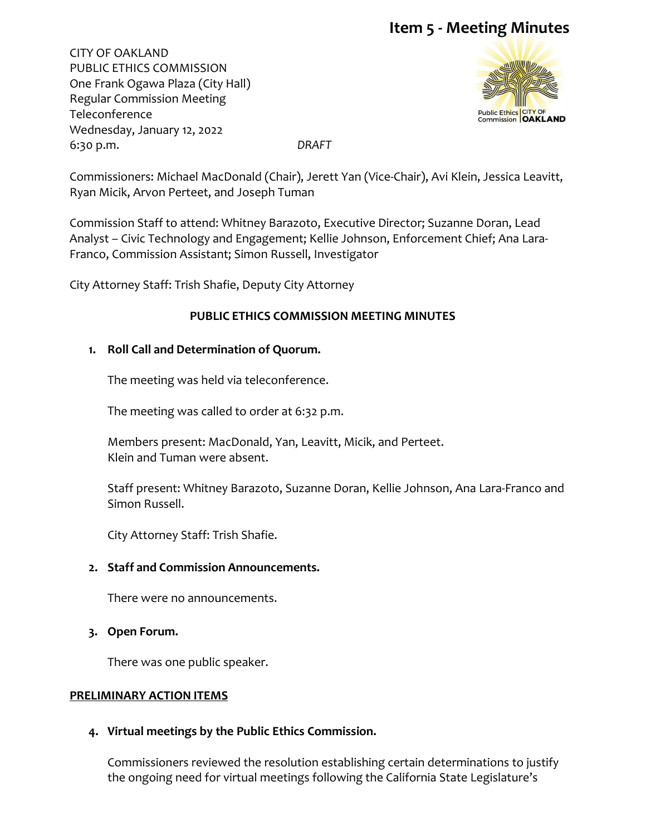CITY OF OAKLAND PUBLIC ETHICS COMMISSION One Frank Ogawa Plaza (City Hall) Regular Commission Meeting Teleconference Wednesday, January 12, 2022 6:30 p.m. *DRAFT*



Commissioners: Michael MacDonald (Chair), Jerett Yan (Vice-Chair), Avi Klein, Jessica Leavitt, Ryan Micik, Arvon Perteet, and Joseph Tuman

Commission Staff to attend: Whitney Barazoto, Executive Director; Suzanne Doran, Lead Analyst – Civic Technology and Engagement; Kellie Johnson, Enforcement Chief; Ana Lara-Franco, Commission Assistant; Simon Russell, Investigator

City Attorney Staff: Trish Shafie, Deputy City Attorney

### **PUBLIC ETHICS COMMISSION MEETING MINUTES**

#### **1. Roll Call and Determination of Quorum.**

The meeting was held via teleconference.

The meeting was called to order at 6:32 p.m.

Members present: MacDonald, Yan, Leavitt, Micik, and Perteet. Klein and Tuman were absent.

Staff present: Whitney Barazoto, Suzanne Doran, Kellie Johnson, Ana Lara-Franco and Simon Russell.

City Attorney Staff: Trish Shafie.

#### **2. Staff and Commission Announcements.**

There were no announcements.

**3. Open Forum.**

There was one public speaker.

#### **PRELIMINARY ACTION ITEMS**

#### **4. Virtual meetings by the Public Ethics Commission.**

Commissioners reviewed the resolution establishing certain determinations to justify the ongoing need for virtual meetings following the California State Legislature's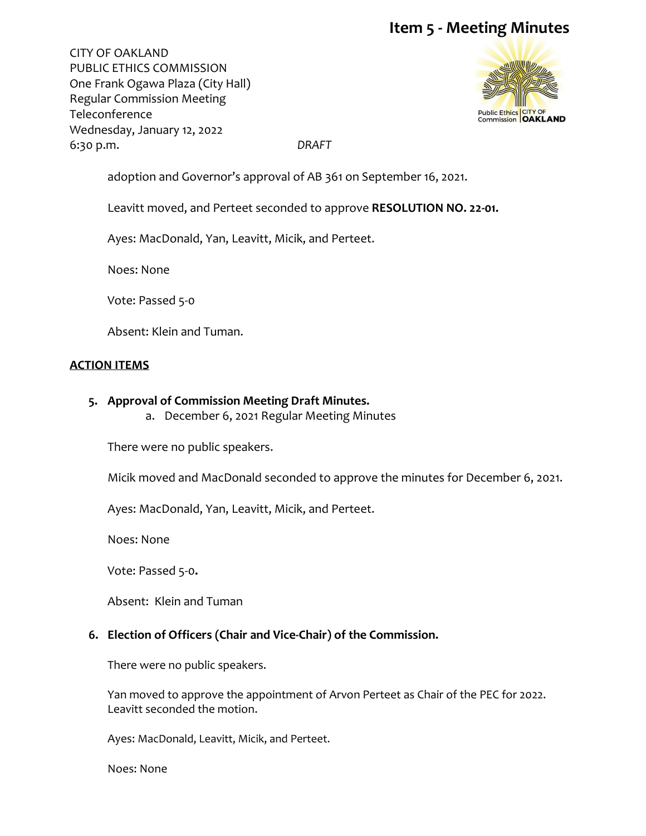CITY OF OAKLAND PUBLIC ETHICS COMMISSION One Frank Ogawa Plaza (City Hall) Regular Commission Meeting Teleconference Wednesday, January 12, 2022 6:30 p.m. *DRAFT*



adoption and Governor's approval of AB 361 on September 16, 2021.

Leavitt moved, and Perteet seconded to approve **RESOLUTION NO. 22-01.**

Ayes: MacDonald, Yan, Leavitt, Micik, and Perteet.

Noes: None

Vote: Passed 5-0

Absent: Klein and Tuman.

#### **ACTION ITEMS**

- **5. Approval of Commission Meeting Draft Minutes.** 
	- a. December 6, 2021 Regular Meeting Minutes

There were no public speakers.

Micik moved and MacDonald seconded to approve the minutes for December 6, 2021.

Ayes: MacDonald, Yan, Leavitt, Micik, and Perteet.

Noes: None

Vote: Passed 5-0**.** 

Absent: Klein and Tuman

#### **6. Election of Officers (Chair and Vice-Chair) of the Commission.**

There were no public speakers.

Yan moved to approve the appointment of Arvon Perteet as Chair of the PEC for 2022. Leavitt seconded the motion.

Ayes: MacDonald, Leavitt, Micik, and Perteet.

Noes: None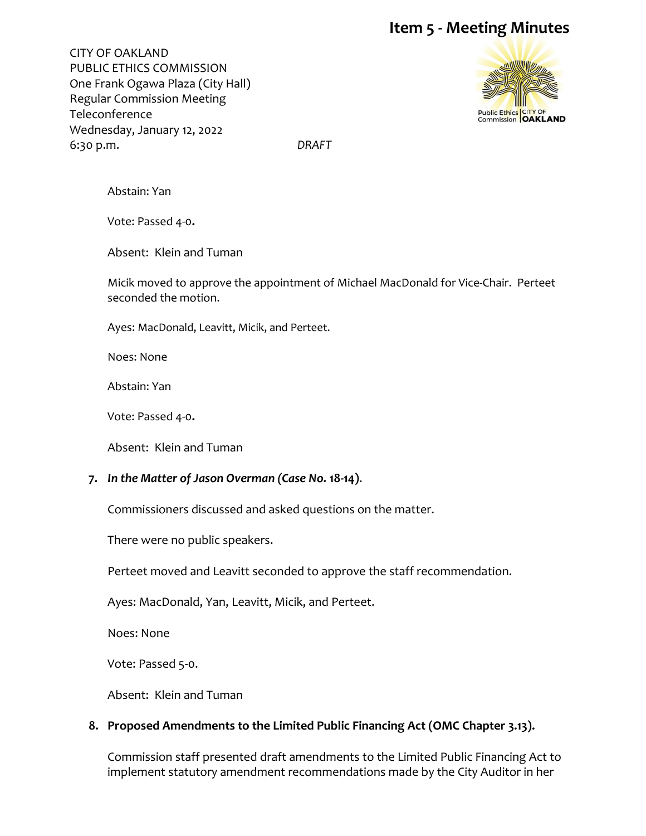CITY OF OAKLAND PUBLIC ETHICS COMMISSION One Frank Ogawa Plaza (City Hall) Regular Commission Meeting Teleconference Wednesday, January 12, 2022 6:30 p.m. *DRAFT*



Abstain: Yan

Vote: Passed 4-0**.** 

Absent: Klein and Tuman

Micik moved to approve the appointment of Michael MacDonald for Vice-Chair. Perteet seconded the motion.

Ayes: MacDonald, Leavitt, Micik, and Perteet.

Noes: None

Abstain: Yan

Vote: Passed 4-0**.** 

Absent: Klein and Tuman

#### **7.** *In the Matter of Jason Overman (Case No.* **18-14)**.

Commissioners discussed and asked questions on the matter.

There were no public speakers.

Perteet moved and Leavitt seconded to approve the staff recommendation.

Ayes: MacDonald, Yan, Leavitt, Micik, and Perteet.

Noes: None

Vote: Passed 5-0.

Absent: Klein and Tuman

### **8. Proposed Amendments to the Limited Public Financing Act (OMC Chapter 3.13).**

Commission staff presented draft amendments to the Limited Public Financing Act to implement statutory amendment recommendations made by the City Auditor in her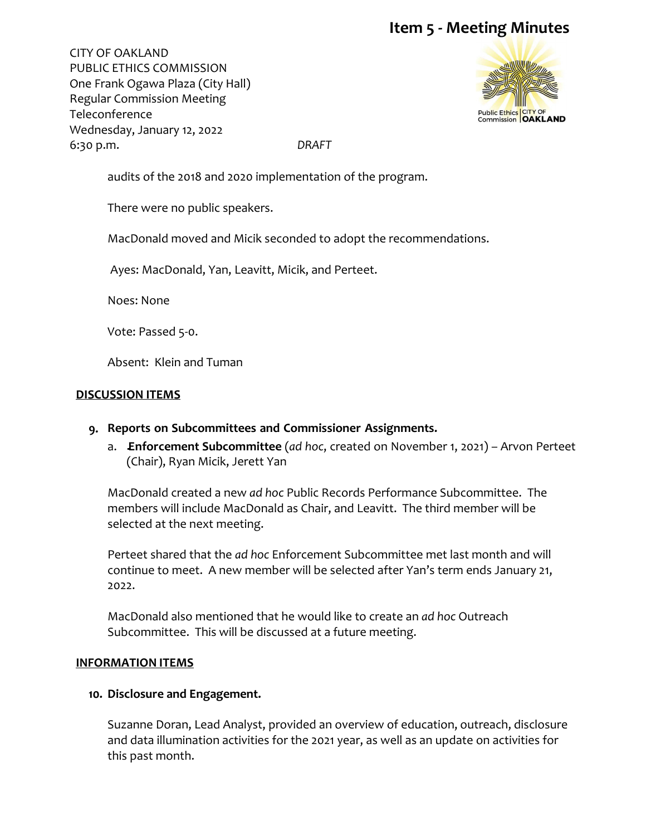CITY OF OAKLAND PUBLIC ETHICS COMMISSION One Frank Ogawa Plaza (City Hall) Regular Commission Meeting Teleconference Wednesday, January 12, 2022 6:30 p.m. *DRAFT*



audits of the 2018 and 2020 implementation of the program.

There were no public speakers.

MacDonald moved and Micik seconded to adopt the recommendations.

Ayes: MacDonald, Yan, Leavitt, Micik, and Perteet.

Noes: None

Vote: Passed 5-0.

Absent: Klein and Tuman

### **DISCUSSION ITEMS**

- **9. Reports on Subcommittees and Commissioner Assignments.**
	- a. **Enforcement Subcommittee** (*ad hoc*, created on November 1, 2021) Arvon Perteet (Chair), Ryan Micik, Jerett Yan

MacDonald created a new *ad hoc* Public Records Performance Subcommittee. The members will include MacDonald as Chair, and Leavitt. The third member will be selected at the next meeting.

Perteet shared that the *ad hoc* Enforcement Subcommittee met last month and will continue to meet. A new member will be selected after Yan's term ends January 21, 2022.

MacDonald also mentioned that he would like to create an *ad hoc* Outreach Subcommittee. This will be discussed at a future meeting.

#### **INFORMATION ITEMS**

#### **10. Disclosure and Engagement.**

Suzanne Doran, Lead Analyst, provided an overview of education, outreach, disclosure and data illumination activities for the 2021 year, as well as an update on activities for this past month.